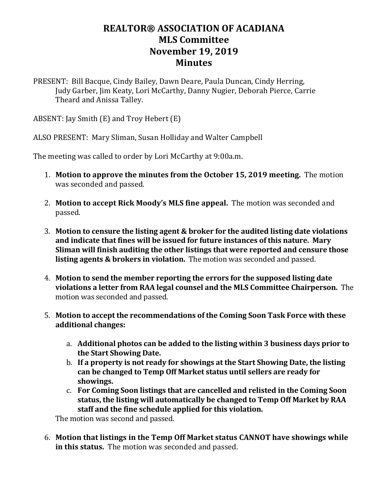## **REALTOR® ASSOCIATION OF ACADIANA MLS Committee November 19, 2019 Minutes**

PRESENT: Bill Bacque, Cindy Bailey, Dawn Deare, Paula Duncan, Cindy Herring, Judy Garber, Jim Keaty, Lori McCarthy, Danny Nugier, Deborah Pierce, Carrie Theard and Anissa Talley.

ABSENT: Jay Smith (E) and Troy Hebert (E)

ALSO PRESENT: Mary Sliman, Susan Holliday and Walter Campbell

The meeting was called to order by Lori McCarthy at 9:00a.m.

- 1. **Motion to approve the minutes from the October 15, 2019 meeting.** The motion was seconded and passed.
- 2. **Motion to accept Rick Moody's MLS fine appeal.** The motion was seconded and passed.
- 3. **Motion to censure the listing agent & broker for the audited listing date violations and indicate that fines will be issued for future instances of this nature. Mary Sliman will finish auditing the other listings that were reported and censure those listing agents & brokers in violation.** The motion was seconded and passed.
- 4. **Motion to send the member reporting the errors for the supposed listing date violations a letter from RAA legal counsel and the MLS Committee Chairperson.** The motion was seconded and passed.
- 5. **Motion to accept the recommendations of the Coming Soon Task Force with these additional changes:**
	- a. **Additional photos can be added to the listing within 3 business days prior to the Start Showing Date.**
	- b. **If a property is not ready for showings at the Start Showing Date, the listing can be changed to Temp Off Market status until sellers are ready for showings.**
	- c. **For Coming Soon listings that are cancelled and relisted in the Coming Soon status, the listing will automatically be changed to Temp Off Market by RAA staff and the fine schedule applied for this violation.**

The motion was second and passed.

6. **Motion that listings in the Temp Off Market status CANNOT have showings while in this status.** The motion was seconded and passed.